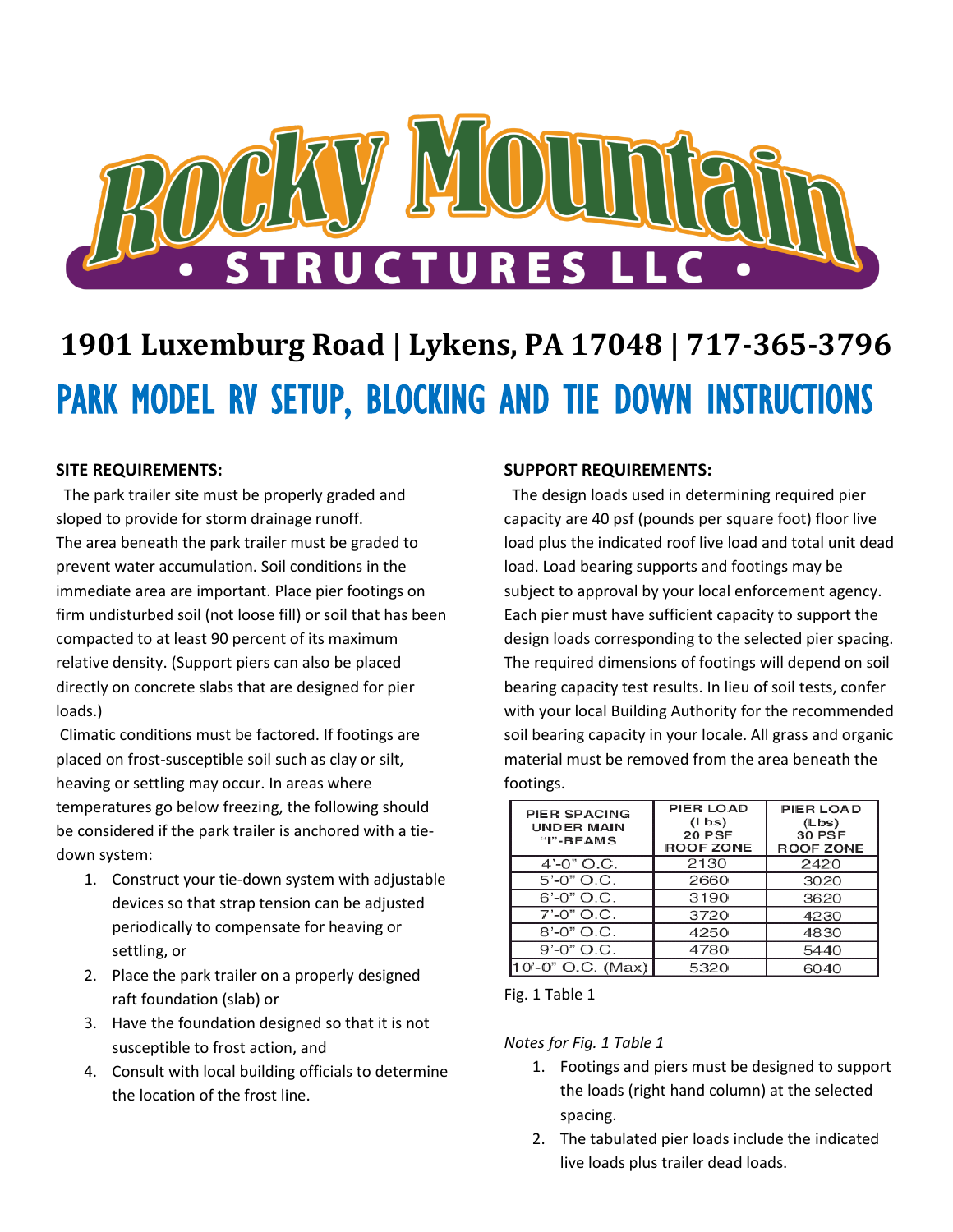

# **1901 Luxemburg Road | Lykens, PA 17048 | 717-365-3796** PARK MODEL RV SETUP, BLOCKING AND TIE DOWN INSTRUCTIONS

## **SITE REQUIREMENTS:**

 The park trailer site must be properly graded and sloped to provide for storm drainage runoff. The area beneath the park trailer must be graded to prevent water accumulation. Soil conditions in the immediate area are important. Place pier footings on firm undisturbed soil (not loose fill) or soil that has been compacted to at least 90 percent of its maximum relative density. (Support piers can also be placed directly on concrete slabs that are designed for pier loads.)

Climatic conditions must be factored. If footings are placed on frost-susceptible soil such as clay or silt, heaving or settling may occur. In areas where temperatures go below freezing, the following should be considered if the park trailer is anchored with a tiedown system:

- 1. Construct your tie-down system with adjustable devices so that strap tension can be adjusted periodically to compensate for heaving or settling, or
- 2. Place the park trailer on a properly designed raft foundation (slab) or
- 3. Have the foundation designed so that it is not susceptible to frost action, and
- 4. Consult with local building officials to determine the location of the frost line.

### **SUPPORT REQUIREMENTS:**

 The design loads used in determining required pier capacity are 40 psf (pounds per square foot) floor live load plus the indicated roof live load and total unit dead load. Load bearing supports and footings may be subject to approval by your local enforcement agency. Each pier must have sufficient capacity to support the design loads corresponding to the selected pier spacing. The required dimensions of footings will depend on soil bearing capacity test results. In lieu of soil tests, confer with your local Building Authority for the recommended soil bearing capacity in your locale. All grass and organic material must be removed from the area beneath the footings.

| PIER SPACING<br><b>UNDER MAIN</b><br>$"I" - BEAMS$ | PIER LOAD<br>(Lbs)<br>20 PSF<br><b>ROOF ZONE</b> | PIER LOAD<br>(Lbs)<br><b>30 PSF</b><br><b>ROOF ZONE</b> |
|----------------------------------------------------|--------------------------------------------------|---------------------------------------------------------|
| $4' - 0''$ O.C.                                    | 2130                                             | 2420                                                    |
| $5' - 0''$ O.C.                                    | 2660                                             | 3020                                                    |
| $6' - 0''$ O.C.                                    | 3190                                             | 3620                                                    |
| $7' - 0''$ O.C.                                    | 3720                                             | 4230                                                    |
| $8' - 0''$ O.C.                                    | 4250                                             | 4830                                                    |
| $9' - 0''$ O.C.                                    | 4780                                             | 5440                                                    |
| 10'-0" O.C. (Max)                                  | 5320                                             | 6040                                                    |

Fig. 1 Table 1

*Notes for Fig. 1 Table 1*

- 1. Footings and piers must be designed to support the loads (right hand column) at the selected spacing.
- 2. The tabulated pier loads include the indicated live loads plus trailer dead loads.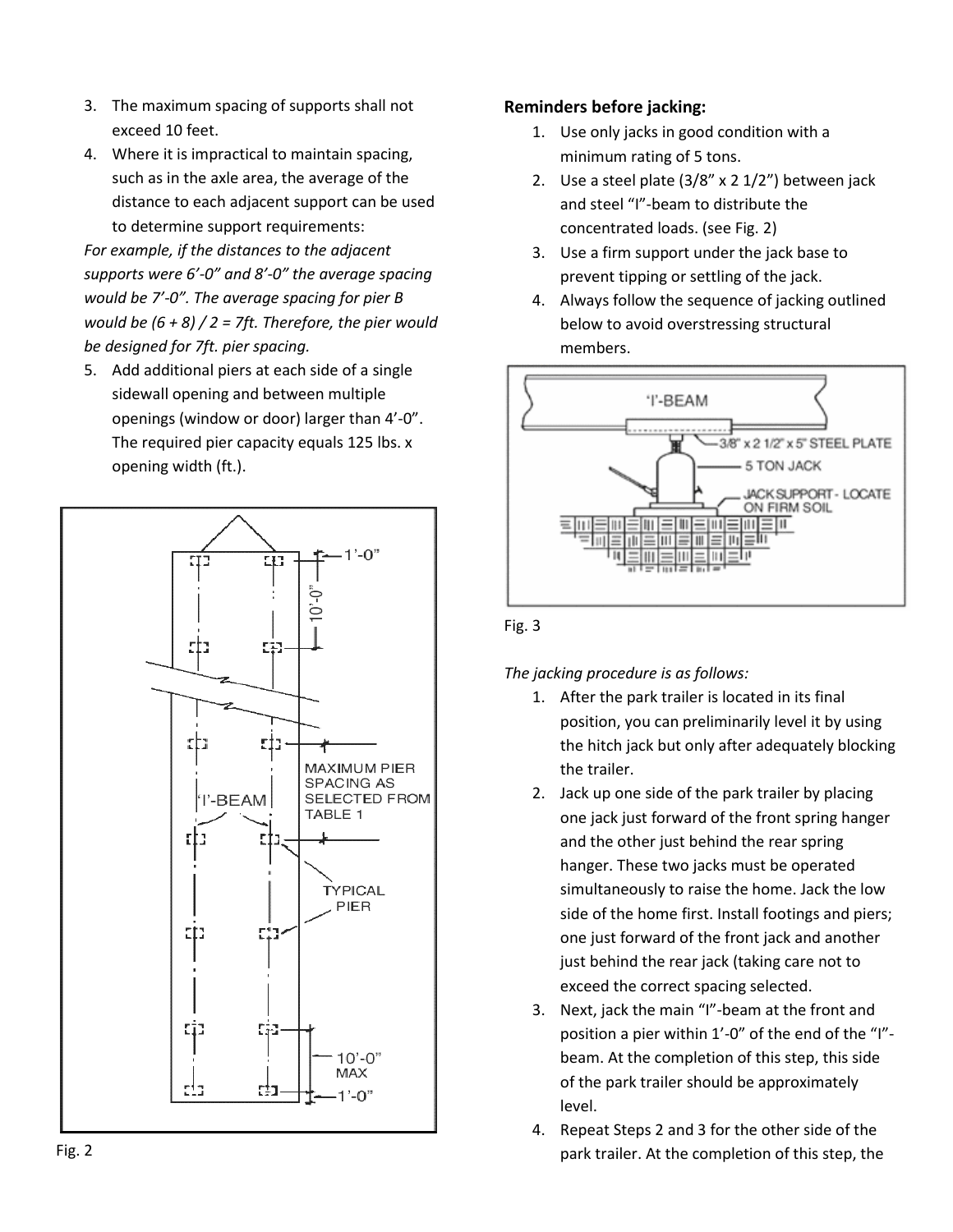- 3. The maximum spacing of supports shall not exceed 10 feet.
- 4. Where it is impractical to maintain spacing, such as in the axle area, the average of the distance to each adjacent support can be used to determine support requirements:

*For example, if the distances to the adjacent supports were 6'-0" and 8'-0" the average spacing would be 7'-0". The average spacing for pier B would be (6 + 8) / 2 = 7ft. Therefore, the pier would be designed for 7ft. pier spacing.*

5. Add additional piers at each side of a single sidewall opening and between multiple openings (window or door) larger than 4'-0". The required pier capacity equals 125 lbs. x opening width (ft.).



## **Reminders before jacking:**

- 1. Use only jacks in good condition with a minimum rating of 5 tons.
- 2. Use a steel plate (3/8" x 2 1/2") between jack and steel "I"-beam to distribute the concentrated loads. (see Fig. 2)
- 3. Use a firm support under the jack base to prevent tipping or settling of the jack.
- 4. Always follow the sequence of jacking outlined below to avoid overstressing structural members.



Fig. 3

*The jacking procedure is as follows:*

- 1. After the park trailer is located in its final position, you can preliminarily level it by using the hitch jack but only after adequately blocking the trailer.
- 2. Jack up one side of the park trailer by placing one jack just forward of the front spring hanger and the other just behind the rear spring hanger. These two jacks must be operated simultaneously to raise the home. Jack the low side of the home first. Install footings and piers; one just forward of the front jack and another just behind the rear jack (taking care not to exceed the correct spacing selected.
- 3. Next, jack the main "I"-beam at the front and position a pier within 1'-0" of the end of the "I" beam. At the completion of this step, this side of the park trailer should be approximately level.
- 4. Repeat Steps 2 and 3 for the other side of the park trailer. At the completion of this step, the